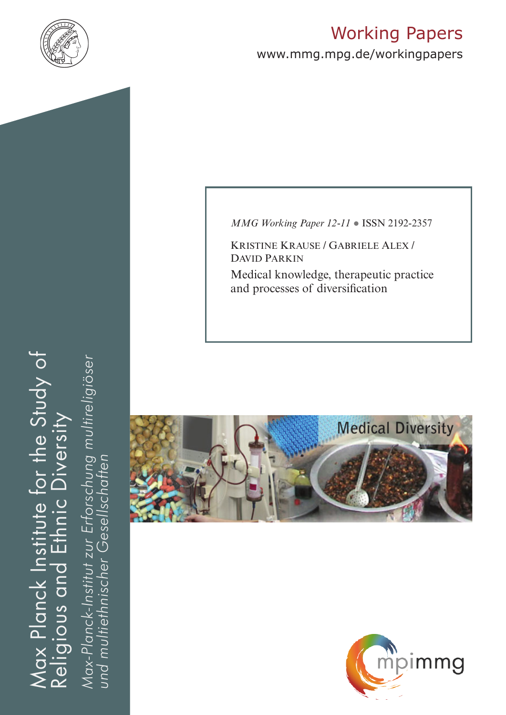

# Working Papers

www.mmg.mpg.de/workingpapers

*MMG Working Paper 12-11* ● ISSN 2192-2357

Kristine Krause / Gabriele Alex / David Parkin

Medical knowledge, therapeutic practice and processes of diversification





Max Planck Institute for the Study of Religious and Ethnic Diversity Max Planck Institute for the Study of *Max-Planck-Institut zur Erforschung multireligiöser*  Ethnic Diversity Religious and

Max-Planck-Institut zur Erforschung multireligiöser<br>und multiethnischer Gesellschaften *und multiethnischer Gesellschaften*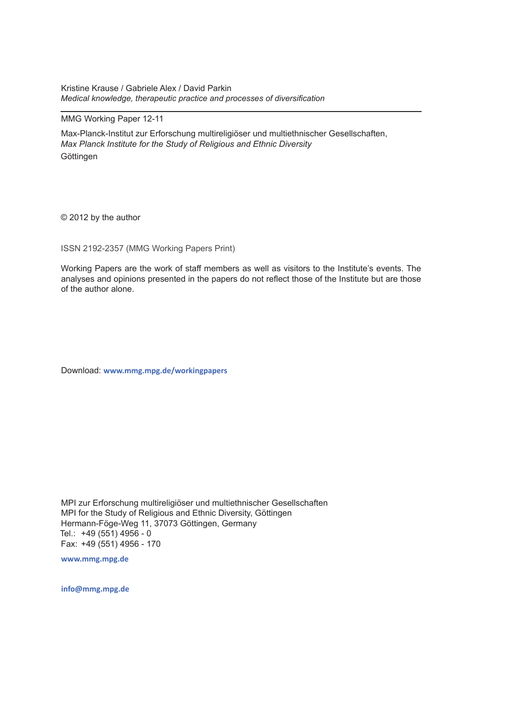Kristine Krause / Gabriele Alex / David Parkin *Medical knowledge, therapeutic practice and processes of diversification* 

#### MMG Working Paper 12-11

Max-Planck-Institut zur Erforschung multireligiöser und multiethnischer Gesellschaften, *Max Planck Institute for the Study of Religious and Ethnic Diversity* **Göttingen** 

© 2012 by the author

ISSN 2192-2357 (MMG Working Papers Print)

Working Papers are the work of staff members as well as visitors to the Institute's events. The analyses and opinions presented in the papers do not reflect those of the Institute but are those of the author alone.

Download: **www.mmg.mpg.de/workingpapers**

MPI zur Erforschung multireligiöser und multiethnischer Gesellschaften MPI for the Study of Religious and Ethnic Diversity, Göttingen Hermann-Föge-Weg 11, 37073 Göttingen, Germany Tel.: +49 (551) 4956 - 0 Fax: +49 (551) 4956 - 170

**www.mmg.mpg.de**

**info@mmg.mpg.de**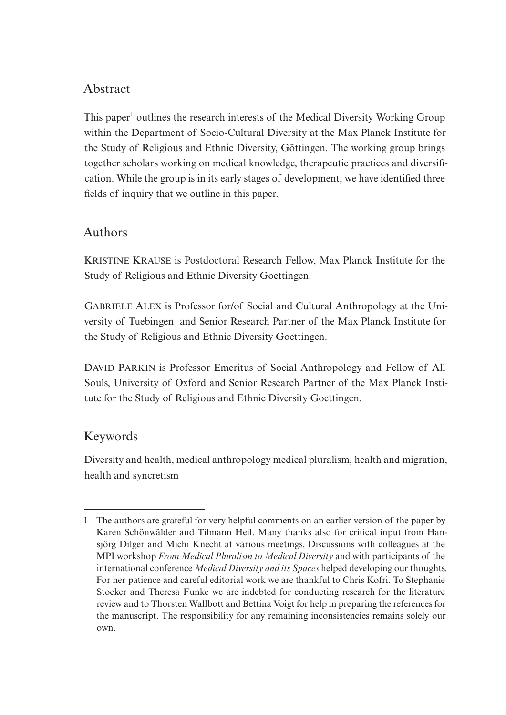## Abstract

This paper<sup>1</sup> outlines the research interests of the Medical Diversity Working Group within the Department of Socio-Cultural Diversity at the Max Planck Institute for the Study of Religious and Ethnic Diversity, Göttingen. The working group brings together scholars working on medical knowledge, therapeutic practices and diversification. While the group is in its early stages of development, we have identified three fields of inquiry that we outline in this paper.

## Authors

Kristine Krause is Postdoctoral Research Fellow, Max Planck Institute for the Study of Religious and Ethnic Diversity Goettingen.

GABRIELE ALEX is Professor for/of Social and Cultural Anthropology at the University of Tuebingen and Senior Research Partner of the Max Planck Institute for the Study of Religious and Ethnic Diversity Goettingen.

DAVID PARKIN is Professor Emeritus of Social Anthropology and Fellow of All Souls, University of Oxford and Senior Research Partner of the Max Planck Institute for the Study of Religious and Ethnic Diversity Goettingen.

## Keywords

Diversity and health, medical anthropology medical pluralism, health and migration, health and syncretism

<sup>1</sup> The authors are grateful for very helpful comments on an earlier version of the paper by Karen Schönwälder and Tilmann Heil. Many thanks also for critical input from Hansjörg Dilger and Michi Knecht at various meetings. Discussions with colleagues at the MPI workshop *From Medical Pluralism to Medical Diversity* and with participants of the international conference *Medical Diversity and its Spaces* helped developing our thoughts. For her patience and careful editorial work we are thankful to Chris Kofri. To Stephanie Stocker and Theresa Funke we are indebted for conducting research for the literature review and to Thorsten Wallbott and Bettina Voigt for help in preparing the references for the manuscript. The responsibility for any remaining inconsistencies remains solely our own.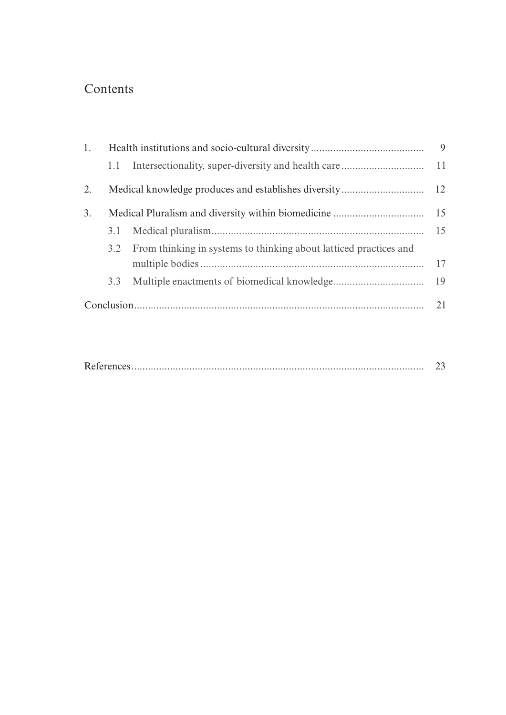## Contents

| 1. |     |                                                                       |    |
|----|-----|-----------------------------------------------------------------------|----|
|    | 1.1 |                                                                       |    |
| 2. |     |                                                                       |    |
| 3. |     |                                                                       |    |
|    |     |                                                                       | 15 |
|    |     | 3.2 From thinking in systems to thinking about latticed practices and |    |
|    |     |                                                                       | 17 |
|    | 3.3 |                                                                       |    |
|    |     |                                                                       | 21 |

|--|--|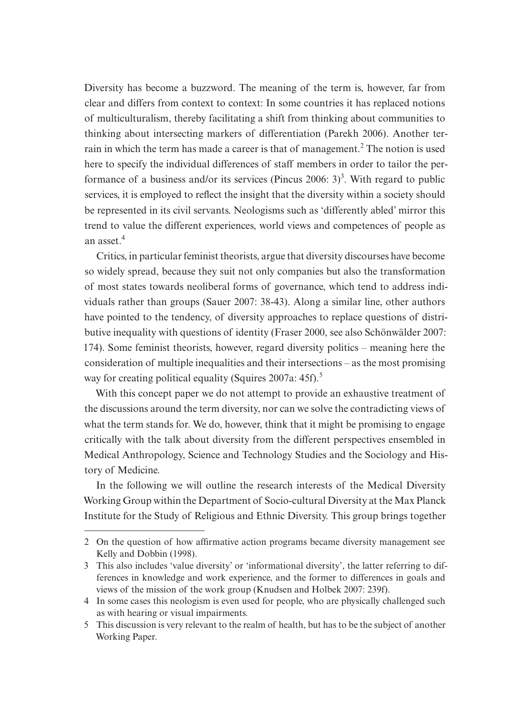Diversity has become a buzzword. The meaning of the term is, however, far from clear and differs from context to context: In some countries it has replaced notions of multiculturalism, thereby facilitating a shift from thinking about communities to thinking about intersecting markers of differentiation (Parekh 2006). Another terrain in which the term has made a career is that of management.<sup>2</sup> The notion is used here to specify the individual differences of staff members in order to tailor the performance of a business and/or its services (Pincus 2006: 3)<sup>3</sup>. With regard to public services, it is employed to reflect the insight that the diversity within a society should be represented in its civil servants. Neologisms such as 'differently abled' mirror this trend to value the different experiences, world views and competences of people as an asset  $4$ 

Critics, in particular feminist theorists, argue that diversity discourses have become so widely spread, because they suit not only companies but also the transformation of most states towards neoliberal forms of governance, which tend to address individuals rather than groups (Sauer 2007: 38-43). Along a similar line, other authors have pointed to the tendency, of diversity approaches to replace questions of distributive inequality with questions of identity (Fraser 2000, see also Schönwälder 2007: 174). Some feminist theorists, however, regard diversity politics – meaning here the consideration of multiple inequalities and their intersections – as the most promising way for creating political equality (Squires 2007a: 45f).<sup>5</sup>

With this concept paper we do not attempt to provide an exhaustive treatment of the discussions around the term diversity, nor can we solve the contradicting views of what the term stands for. We do, however, think that it might be promising to engage critically with the talk about diversity from the different perspectives ensembled in Medical Anthropology, Science and Technology Studies and the Sociology and History of Medicine.

In the following we will outline the research interests of the Medical Diversity Working Group within the Department of Socio-cultural Diversity at the Max Planck Institute for the Study of Religious and Ethnic Diversity. This group brings together

<sup>2</sup> On the question of how affirmative action programs became diversity management see Kelly and Dobbin (1998).

<sup>3</sup> This also includes 'value diversity' or 'informational diversity', the latter referring to differences in knowledge and work experience, and the former to differences in goals and views of the mission of the work group (Knudsen and Holbek 2007: 239f).

<sup>4</sup> In some cases this neologism is even used for people, who are physically challenged such as with hearing or visual impairments.

<sup>5</sup> This discussion is very relevant to the realm of health, but has to be the subject of another Working Paper.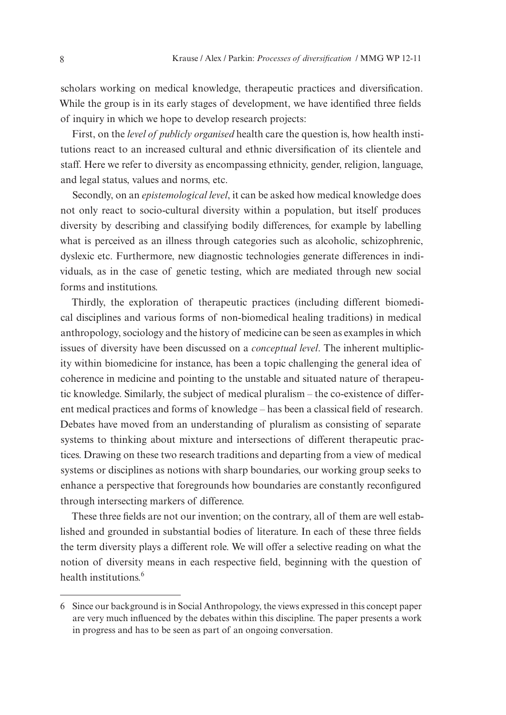scholars working on medical knowledge, therapeutic practices and diversification. While the group is in its early stages of development, we have identified three fields of inquiry in which we hope to develop research projects:

First, on the *level of publicly organised* health care the question is, how health institutions react to an increased cultural and ethnic diversification of its clientele and staff. Here we refer to diversity as encompassing ethnicity, gender, religion, language, and legal status, values and norms, etc.

Secondly, on an *epistemological level*, it can be asked how medical knowledge does not only react to socio-cultural diversity within a population, but itself produces diversity by describing and classifying bodily differences, for example by labelling what is perceived as an illness through categories such as alcoholic, schizophrenic, dyslexic etc. Furthermore, new diagnostic technologies generate differences in individuals, as in the case of genetic testing, which are mediated through new social forms and institutions.

Thirdly, the exploration of therapeutic practices (including different biomedical disciplines and various forms of non-biomedical healing traditions) in medical anthropology, sociology and the history of medicine can be seen as examples in which issues of diversity have been discussed on a *conceptual level*. The inherent multiplicity within biomedicine for instance, has been a topic challenging the general idea of coherence in medicine and pointing to the unstable and situated nature of therapeutic knowledge. Similarly, the subject of medical pluralism – the co-existence of different medical practices and forms of knowledge – has been a classical field of research. Debates have moved from an understanding of pluralism as consisting of separate systems to thinking about mixture and intersections of different therapeutic practices. Drawing on these two research traditions and departing from a view of medical systems or disciplines as notions with sharp boundaries, our working group seeks to enhance a perspective that foregrounds how boundaries are constantly reconfigured through intersecting markers of difference.

These three fields are not our invention; on the contrary, all of them are well established and grounded in substantial bodies of literature. In each of these three fields the term diversity plays a different role. We will offer a selective reading on what the notion of diversity means in each respective field, beginning with the question of health institutions  $<sup>6</sup>$ </sup>

<sup>6</sup> Since our background is in Social Anthropology, the views expressed in this concept paper are very much influenced by the debates within this discipline. The paper presents a work in progress and has to be seen as part of an ongoing conversation.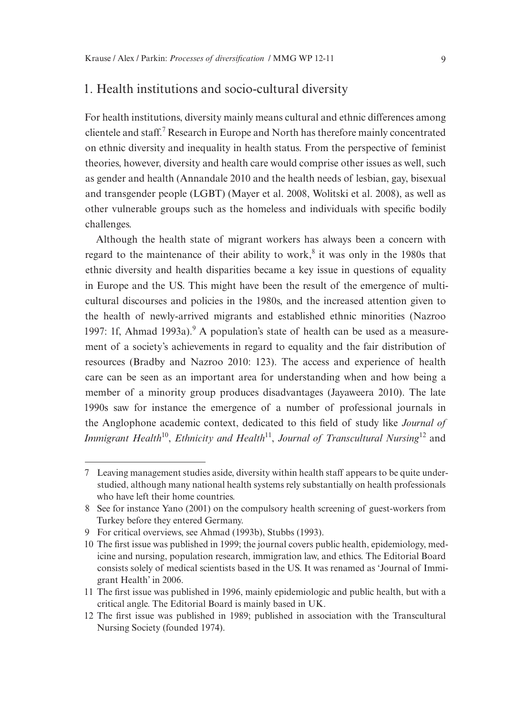#### 1. Health institutions and socio-cultural diversity

For health institutions, diversity mainly means cultural and ethnic differences among clientele and staff.<sup>7</sup> Research in Europe and North has therefore mainly concentrated on ethnic diversity and inequality in health status. From the perspective of feminist theories, however, diversity and health care would comprise other issues as well, such as gender and health (Annandale 2010 and the health needs of lesbian, gay, bisexual and transgender people (LGBT) (Mayer et al. 2008, Wolitski et al. 2008), as well as other vulnerable groups such as the homeless and individuals with specific bodily challenges.

Although the health state of migrant workers has always been a concern with regard to the maintenance of their ability to work, $8$  it was only in the 1980s that ethnic diversity and health disparities became a key issue in questions of equality in Europe and the US. This might have been the result of the emergence of multicultural discourses and policies in the 1980s, and the increased attention given to the health of newly-arrived migrants and established ethnic minorities (Nazroo 1997: 1f, Ahmad 1993a).<sup>9</sup> A population's state of health can be used as a measurement of a society's achievements in regard to equality and the fair distribution of resources (Bradby and Nazroo 2010: 123). The access and experience of health care can be seen as an important area for understanding when and how being a member of a minority group produces disadvantages (Jayaweera 2010). The late 1990s saw for instance the emergence of a number of professional journals in the Anglophone academic context, dedicated to this field of study like *Journal of Immigrant Health*<sup>10</sup>, *Ethnicity and Health*<sup>11</sup>, *Journal of Transcultural Nursing*<sup>12</sup> and

<sup>7</sup> Leaving management studies aside, diversity within health staff appears to be quite understudied, although many national health systems rely substantially on health professionals who have left their home countries.

<sup>8</sup> See for instance Yano (2001) on the compulsory health screening of guest-workers from Turkey before they entered Germany.

<sup>9</sup> For critical overviews, see Ahmad (1993b), Stubbs (1993).

<sup>10</sup> The first issue was published in 1999; the journal covers public health, epidemiology, medicine and nursing, population research, immigration law, and ethics. The Editorial Board consists solely of medical scientists based in the US. It was renamed as 'Journal of Immigrant Health' in 2006.

<sup>11</sup> The first issue was published in 1996, mainly epidemiologic and public health, but with a critical angle. The Editorial Board is mainly based in UK.

<sup>12</sup> The first issue was published in 1989; published in association with the Transcultural Nursing Society (founded 1974).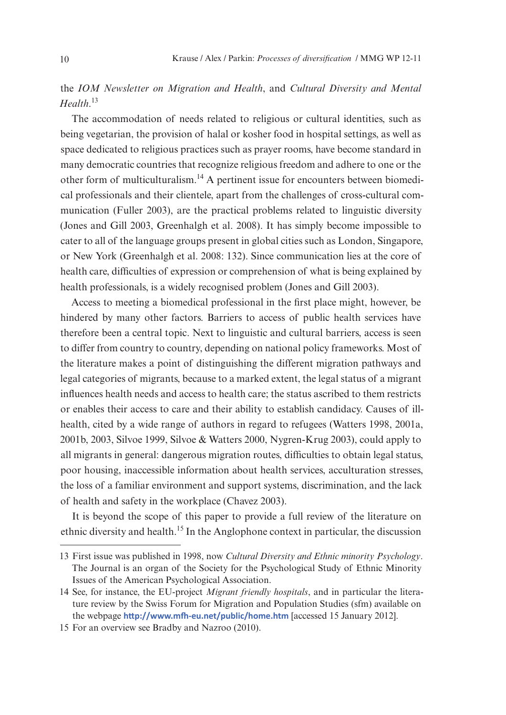the *IOM Newsletter on Migration and Health*, and *Cultural Diversity and Mental Health*. 13

The accommodation of needs related to religious or cultural identities, such as being vegetarian, the provision of halal or kosher food in hospital settings, as well as space dedicated to religious practices such as prayer rooms, have become standard in many democratic countries that recognize religious freedom and adhere to one or the other form of multiculturalism.14 A pertinent issue for encounters between biomedical professionals and their clientele, apart from the challenges of cross-cultural communication (Fuller 2003), are the practical problems related to linguistic diversity (Jones and Gill 2003, Greenhalgh et al. 2008). It has simply become impossible to cater to all of the language groups present in global cities such as London, Singapore, or New York (Greenhalgh et al. 2008: 132). Since communication lies at the core of health care, difficulties of expression or comprehension of what is being explained by health professionals, is a widely recognised problem (Jones and Gill 2003).

Access to meeting a biomedical professional in the first place might, however, be hindered by many other factors. Barriers to access of public health services have therefore been a central topic. Next to linguistic and cultural barriers, access is seen to differ from country to country, depending on national policy frameworks. Most of the literature makes a point of distinguishing the different migration pathways and legal categories of migrants, because to a marked extent, the legal status of a migrant influences health needs and access to health care; the status ascribed to them restricts or enables their access to care and their ability to establish candidacy. Causes of illhealth, cited by a wide range of authors in regard to refugees (Watters 1998, 2001a, 2001b, 2003, Silvoe 1999, Silvoe & Watters 2000, Nygren-Krug 2003), could apply to all migrants in general: dangerous migration routes, difficulties to obtain legal status, poor housing, inaccessible information about health services, acculturation stresses, the loss of a familiar environment and support systems, discrimination, and the lack of health and safety in the workplace (Chavez 2003).

It is beyond the scope of this paper to provide a full review of the literature on ethnic diversity and health.15 In the Anglophone context in particular, the discussion

<sup>13</sup> First issue was published in 1998, now *Cultural Diversity and Ethnic minority Psychology*. The Journal is an organ of the Society for the Psychological Study of Ethnic Minority Issues of the American Psychological Association.

<sup>14</sup> See, for instance, the EU-project *Migrant friendly hospitals*, and in particular the literature review by the Swiss Forum for Migration and Population Studies (sfm) available on the webpage **http://www.mfh-eu.net/public/home.htm** [accessed 15 January 2012].

<sup>15</sup> For an overview see Bradby and Nazroo (2010).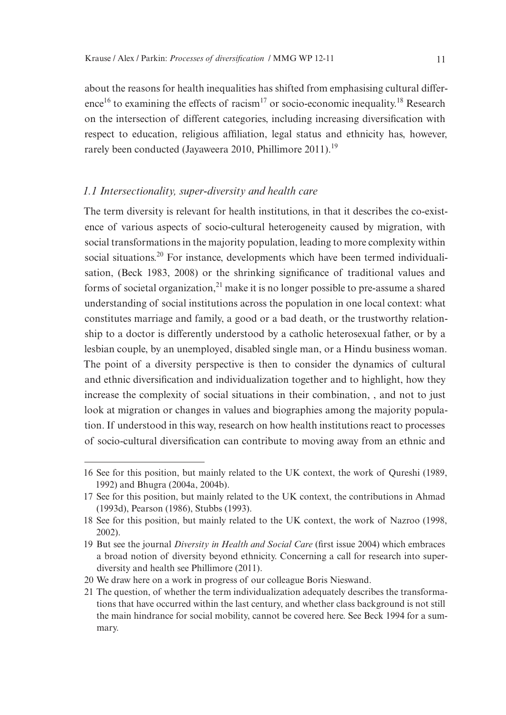about the reasons for health inequalities has shifted from emphasising cultural difference<sup>16</sup> to examining the effects of racism<sup>17</sup> or socio-economic inequality.<sup>18</sup> Research on the intersection of different categories, including increasing diversification with respect to education, religious affiliation, legal status and ethnicity has, however, rarely been conducted (Jayaweera 2010, Phillimore 2011).<sup>19</sup>

#### *1.1 Intersectionality, super-diversity and health care*

The term diversity is relevant for health institutions, in that it describes the co-existence of various aspects of socio-cultural heterogeneity caused by migration, with social transformations in the majority population, leading to more complexity within social situations.<sup>20</sup> For instance, developments which have been termed individualisation, (Beck 1983, 2008) or the shrinking significance of traditional values and forms of societal organization, $^{21}$  make it is no longer possible to pre-assume a shared understanding of social institutions across the population in one local context: what constitutes marriage and family, a good or a bad death, or the trustworthy relationship to a doctor is differently understood by a catholic heterosexual father, or by a lesbian couple, by an unemployed, disabled single man, or a Hindu business woman. The point of a diversity perspective is then to consider the dynamics of cultural and ethnic diversification and individualization together and to highlight, how they increase the complexity of social situations in their combination, , and not to just look at migration or changes in values and biographies among the majority population. If understood in this way, research on how health institutions react to processes of socio-cultural diversification can contribute to moving away from an ethnic and

<sup>16</sup> See for this position, but mainly related to the UK context, the work of Qureshi (1989, 1992) and Bhugra (2004a, 2004b).

<sup>17</sup> See for this position, but mainly related to the UK context, the contributions in Ahmad (1993d), Pearson (1986), Stubbs (1993).

<sup>18</sup> See for this position, but mainly related to the UK context, the work of Nazroo (1998, 2002).

<sup>19</sup> But see the journal *Diversity in Health and Social Care* (first issue 2004) which embraces a broad notion of diversity beyond ethnicity. Concerning a call for research into superdiversity and health see Phillimore (2011).

<sup>20</sup> We draw here on a work in progress of our colleague Boris Nieswand.

<sup>21</sup> The question, of whether the term individualization adequately describes the transformations that have occurred within the last century, and whether class background is not still the main hindrance for social mobility, cannot be covered here. See Beck 1994 for a summary.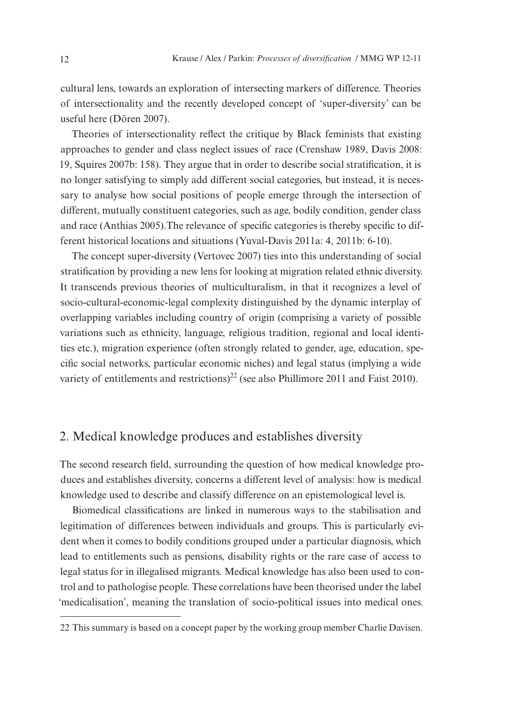cultural lens, towards an exploration of intersecting markers of difference. Theories of intersectionality and the recently developed concept of 'super-diversity' can be useful here (Dören 2007).

Theories of intersectionality reflect the critique by Black feminists that existing approaches to gender and class neglect issues of race (Crenshaw 1989, Davis 2008: 19, Squires 2007b: 158). They argue that in order to describe social stratification, it is no longer satisfying to simply add different social categories, but instead, it is necessary to analyse how social positions of people emerge through the intersection of different, mutually constituent categories, such as age, bodily condition, gender class and race (Anthias 2005).The relevance of specific categories is thereby specific to different historical locations and situations (Yuval-Davis 2011a: 4, 2011b: 6-10).

The concept super-diversity (Vertovec 2007) ties into this understanding of social stratification by providing a new lens for looking at migration related ethnic diversity. It transcends previous theories of multiculturalism, in that it recognizes a level of socio-cultural-economic-legal complexity distinguished by the dynamic interplay of overlapping variables including country of origin (comprising a variety of possible variations such as ethnicity, language, religious tradition, regional and local identities etc.), migration experience (often strongly related to gender, age, education, specific social networks, particular economic niches) and legal status (implying a wide variety of entitlements and restrictions)<sup>22</sup> (see also Phillimore 2011 and Faist 2010).

## 2. Medical knowledge produces and establishes diversity

The second research field, surrounding the question of how medical knowledge produces and establishes diversity, concerns a different level of analysis: how is medical knowledge used to describe and classify difference on an epistemological level is.

Biomedical classifications are linked in numerous ways to the stabilisation and legitimation of differences between individuals and groups. This is particularly evident when it comes to bodily conditions grouped under a particular diagnosis, which lead to entitlements such as pensions, disability rights or the rare case of access to legal status for in illegalised migrants. Medical knowledge has also been used to control and to pathologise people. These correlations have been theorised under the label 'medicalisation', meaning the translation of socio-political issues into medical ones.

<sup>22</sup> This summary is based on a concept paper by the working group member Charlie Davisen.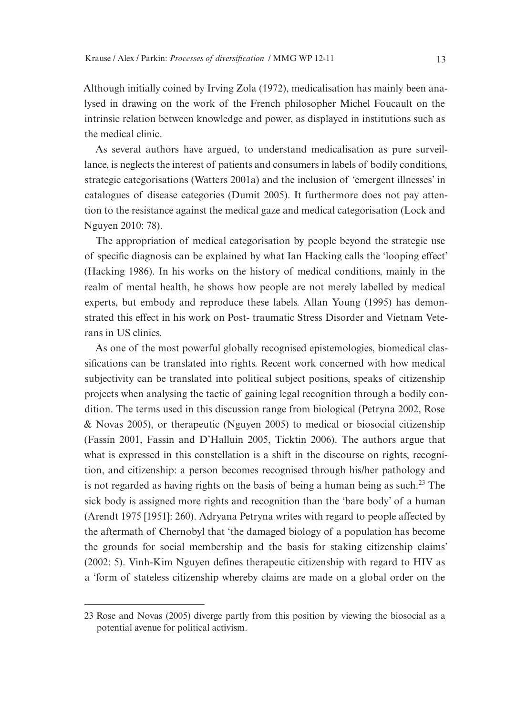Although initially coined by Irving Zola (1972), medicalisation has mainly been analysed in drawing on the work of the French philosopher Michel Foucault on the intrinsic relation between knowledge and power, as displayed in institutions such as the medical clinic.

As several authors have argued, to understand medicalisation as pure surveillance, is neglects the interest of patients and consumers in labels of bodily conditions, strategic categorisations (Watters 2001a) and the inclusion of 'emergent illnesses' in catalogues of disease categories (Dumit 2005). It furthermore does not pay attention to the resistance against the medical gaze and medical categorisation (Lock and Nguyen 2010: 78).

The appropriation of medical categorisation by people beyond the strategic use of specific diagnosis can be explained by what Ian Hacking calls the 'looping effect' (Hacking 1986). In his works on the history of medical conditions, mainly in the realm of mental health, he shows how people are not merely labelled by medical experts, but embody and reproduce these labels. Allan Young (1995) has demonstrated this effect in his work on Post- traumatic Stress Disorder and Vietnam Veterans in US clinics.

As one of the most powerful globally recognised epistemologies, biomedical classifications can be translated into rights. Recent work concerned with how medical subjectivity can be translated into political subject positions, speaks of citizenship projects when analysing the tactic of gaining legal recognition through a bodily condition. The terms used in this discussion range from biological (Petryna 2002, Rose & Novas 2005), or therapeutic (Nguyen 2005) to medical or biosocial citizenship (Fassin 2001, Fassin and D'Halluin 2005, Ticktin 2006). The authors argue that what is expressed in this constellation is a shift in the discourse on rights, recognition, and citizenship: a person becomes recognised through his/her pathology and is not regarded as having rights on the basis of being a human being as such.23 The sick body is assigned more rights and recognition than the 'bare body' of a human (Arendt 1975 [1951]: 260). Adryana Petryna writes with regard to people affected by the aftermath of Chernobyl that 'the damaged biology of a population has become the grounds for social membership and the basis for staking citizenship claims' (2002: 5). Vinh-Kim Nguyen defines therapeutic citizenship with regard to HIV as a 'form of stateless citizenship whereby claims are made on a global order on the

<sup>23</sup> Rose and Novas (2005) diverge partly from this position by viewing the biosocial as a potential avenue for political activism.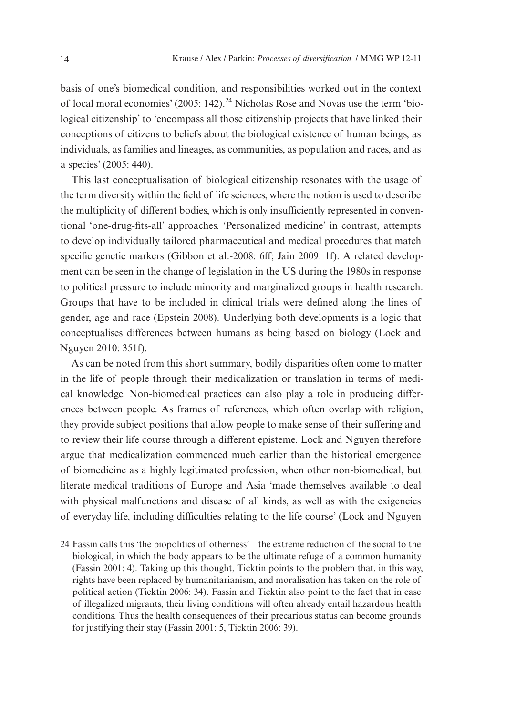basis of one's biomedical condition, and responsibilities worked out in the context of local moral economies' (2005: 142).<sup>24</sup> Nicholas Rose and Novas use the term 'biological citizenship' to 'encompass all those citizenship projects that have linked their conceptions of citizens to beliefs about the biological existence of human beings, as individuals, as families and lineages, as communities, as population and races, and as a species' (2005: 440).

This last conceptualisation of biological citizenship resonates with the usage of the term diversity within the field of life sciences, where the notion is used to describe the multiplicity of different bodies, which is only insufficiently represented in conventional 'one-drug-fits-all' approaches. 'Personalized medicine' in contrast, attempts to develop individually tailored pharmaceutical and medical procedures that match specific genetic markers (Gibbon et al.-2008: 6ff; Jain 2009: 1f). A related development can be seen in the change of legislation in the US during the 1980s in response to political pressure to include minority and marginalized groups in health research. Groups that have to be included in clinical trials were defined along the lines of gender, age and race (Epstein 2008). Underlying both developments is a logic that conceptualises differences between humans as being based on biology (Lock and Nguyen 2010: 351f).

As can be noted from this short summary, bodily disparities often come to matter in the life of people through their medicalization or translation in terms of medical knowledge. Non-biomedical practices can also play a role in producing differences between people. As frames of references, which often overlap with religion, they provide subject positions that allow people to make sense of their suffering and to review their life course through a different episteme. Lock and Nguyen therefore argue that medicalization commenced much earlier than the historical emergence of biomedicine as a highly legitimated profession, when other non-biomedical, but literate medical traditions of Europe and Asia 'made themselves available to deal with physical malfunctions and disease of all kinds, as well as with the exigencies of everyday life, including difficulties relating to the life course' (Lock and Nguyen

<sup>24</sup> Fassin calls this 'the biopolitics of otherness' – the extreme reduction of the social to the biological, in which the body appears to be the ultimate refuge of a common humanity (Fassin 2001: 4). Taking up this thought, Ticktin points to the problem that, in this way, rights have been replaced by humanitarianism, and moralisation has taken on the role of political action (Ticktin 2006: 34). Fassin and Ticktin also point to the fact that in case of illegalized migrants, their living conditions will often already entail hazardous health conditions. Thus the health consequences of their precarious status can become grounds for justifying their stay (Fassin 2001: 5, Ticktin 2006: 39).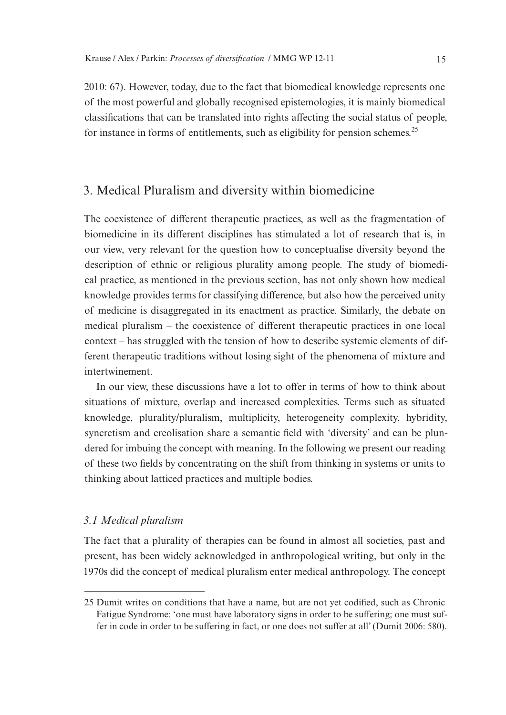2010: 67). However, today, due to the fact that biomedical knowledge represents one of the most powerful and globally recognised epistemologies, it is mainly biomedical classifications that can be translated into rights affecting the social status of people, for instance in forms of entitlements, such as eligibility for pension schemes.<sup>25</sup>

## 3. Medical Pluralism and diversity within biomedicine

The coexistence of different therapeutic practices, as well as the fragmentation of biomedicine in its different disciplines has stimulated a lot of research that is, in our view, very relevant for the question how to conceptualise diversity beyond the description of ethnic or religious plurality among people. The study of biomedical practice, as mentioned in the previous section, has not only shown how medical knowledge provides terms for classifying difference, but also how the perceived unity of medicine is disaggregated in its enactment as practice. Similarly, the debate on medical pluralism – the coexistence of different therapeutic practices in one local context – has struggled with the tension of how to describe systemic elements of different therapeutic traditions without losing sight of the phenomena of mixture and intertwinement.

In our view, these discussions have a lot to offer in terms of how to think about situations of mixture, overlap and increased complexities. Terms such as situated knowledge, plurality/pluralism, multiplicity, heterogeneity complexity, hybridity, syncretism and creolisation share a semantic field with 'diversity' and can be plundered for imbuing the concept with meaning. In the following we present our reading of these two fields by concentrating on the shift from thinking in systems or units to thinking about latticed practices and multiple bodies.

#### *3.1 Medical pluralism*

The fact that a plurality of therapies can be found in almost all societies, past and present, has been widely acknowledged in anthropological writing, but only in the 1970s did the concept of medical pluralism enter medical anthropology. The concept

<sup>25</sup> Dumit writes on conditions that have a name, but are not yet codified, such as Chronic Fatigue Syndrome: 'one must have laboratory signs in order to be suffering; one must suffer in code in order to be suffering in fact, or one does not suffer at all' (Dumit 2006: 580).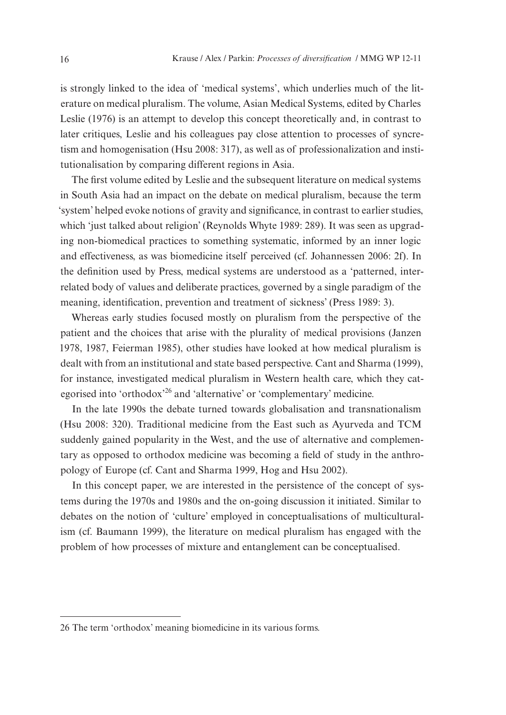is strongly linked to the idea of 'medical systems', which underlies much of the literature on medical pluralism. The volume, Asian Medical Systems, edited by Charles Leslie (1976) is an attempt to develop this concept theoretically and, in contrast to later critiques, Leslie and his colleagues pay close attention to processes of syncretism and homogenisation (Hsu 2008: 317), as well as of professionalization and institutionalisation by comparing different regions in Asia.

The first volume edited by Leslie and the subsequent literature on medical systems in South Asia had an impact on the debate on medical pluralism, because the term 'system' helped evoke notions of gravity and significance, in contrast to earlier studies, which 'just talked about religion' (Reynolds Whyte 1989: 289). It was seen as upgrading non-biomedical practices to something systematic, informed by an inner logic and effectiveness, as was biomedicine itself perceived (cf. Johannessen 2006: 2f). In the definition used by Press, medical systems are understood as a 'patterned, interrelated body of values and deliberate practices, governed by a single paradigm of the meaning, identification, prevention and treatment of sickness' (Press 1989: 3).

Whereas early studies focused mostly on pluralism from the perspective of the patient and the choices that arise with the plurality of medical provisions (Janzen 1978, 1987, Feierman 1985), other studies have looked at how medical pluralism is dealt with from an institutional and state based perspective. Cant and Sharma (1999), for instance, investigated medical pluralism in Western health care, which they categorised into 'orthodox'26 and 'alternative' or 'complementary' medicine.

In the late 1990s the debate turned towards globalisation and transnationalism (Hsu 2008: 320). Traditional medicine from the East such as Ayurveda and TCM suddenly gained popularity in the West, and the use of alternative and complementary as opposed to orthodox medicine was becoming a field of study in the anthropology of Europe (cf. Cant and Sharma 1999, Hog and Hsu 2002).

In this concept paper, we are interested in the persistence of the concept of systems during the 1970s and 1980s and the on-going discussion it initiated. Similar to debates on the notion of 'culture' employed in conceptualisations of multiculturalism (cf. Baumann 1999), the literature on medical pluralism has engaged with the problem of how processes of mixture and entanglement can be conceptualised.

<sup>26</sup> The term 'orthodox' meaning biomedicine in its various forms.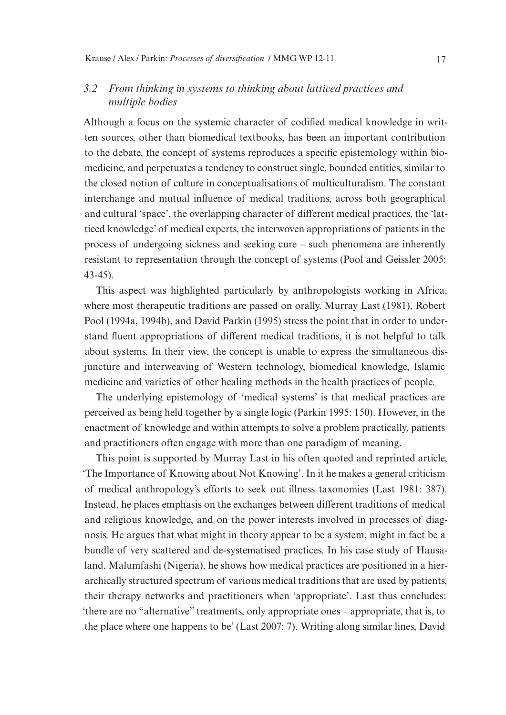### *3.2 From thinking in systems to thinking about latticed practices and multiple bodies*

Although a focus on the systemic character of codified medical knowledge in written sources, other than biomedical textbooks, has been an important contribution to the debate, the concept of systems reproduces a specific epistemology within biomedicine, and perpetuates a tendency to construct single, bounded entities, similar to the closed notion of culture in conceptualisations of multiculturalism. The constant interchange and mutual influence of medical traditions, across both geographical and cultural 'space', the overlapping character of different medical practices, the 'latticed knowledge' of medical experts, the interwoven appropriations of patients in the process of undergoing sickness and seeking cure – such phenomena are inherently resistant to representation through the concept of systems (Pool and Geissler 2005: 43-45).

This aspect was highlighted particularly by anthropologists working in Africa, where most therapeutic traditions are passed on orally. Murray Last (1981), Robert Pool (1994a, 1994b), and David Parkin (1995) stress the point that in order to understand fluent appropriations of different medical traditions, it is not helpful to talk about systems. In their view, the concept is unable to express the simultaneous disjuncture and interweaving of Western technology, biomedical knowledge, Islamic medicine and varieties of other healing methods in the health practices of people.

The underlying epistemology of 'medical systems' is that medical practices are perceived as being held together by a single logic (Parkin 1995: 150). However, in the enactment of knowledge and within attempts to solve a problem practically, patients and practitioners often engage with more than one paradigm of meaning.

This point is supported by Murray Last in his often quoted and reprinted article, 'The Importance of Knowing about Not Knowing'. In it he makes a general criticism of medical anthropology's efforts to seek out illness taxonomies (Last 1981: 387). Instead, he places emphasis on the exchanges between different traditions of medical and religious knowledge, and on the power interests involved in processes of diagnosis. He argues that what might in theory appear to be a system, might in fact be a bundle of very scattered and de-systematised practices. In his case study of Hausaland, Malumfashi (Nigeria), he shows how medical practices are positioned in a hierarchically structured spectrum of various medical traditions that are used by patients, their therapy networks and practitioners when 'appropriate'. Last thus concludes: 'there are no "alternative" treatments, only appropriate ones – appropriate, that is, to the place where one happens to be' (Last 2007: 7). Writing along similar lines, David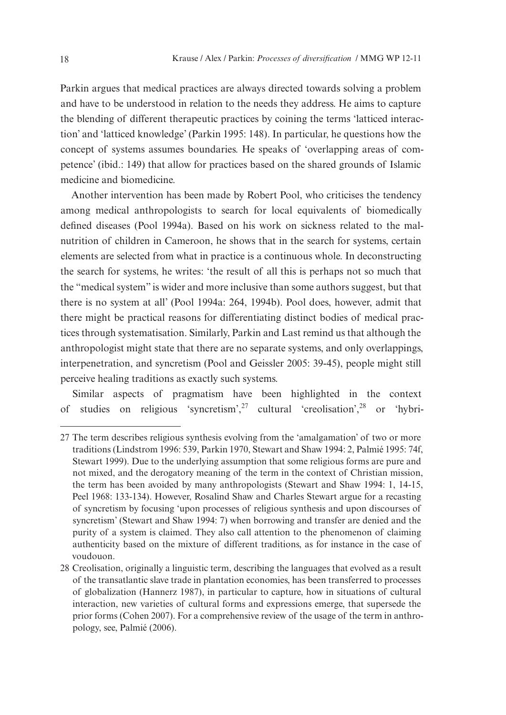Parkin argues that medical practices are always directed towards solving a problem and have to be understood in relation to the needs they address. He aims to capture the blending of different therapeutic practices by coining the terms 'latticed interaction' and 'latticed knowledge' (Parkin 1995: 148). In particular, he questions how the concept of systems assumes boundaries. He speaks of 'overlapping areas of competence' (ibid.: 149) that allow for practices based on the shared grounds of Islamic medicine and biomedicine.

Another intervention has been made by Robert Pool, who criticises the tendency among medical anthropologists to search for local equivalents of biomedically defined diseases (Pool 1994a). Based on his work on sickness related to the malnutrition of children in Cameroon, he shows that in the search for systems, certain elements are selected from what in practice is a continuous whole. In deconstructing the search for systems, he writes: 'the result of all this is perhaps not so much that the "medical system" is wider and more inclusive than some authors suggest, but that there is no system at all' (Pool 1994a: 264, 1994b). Pool does, however, admit that there might be practical reasons for differentiating distinct bodies of medical practices through systematisation. Similarly, Parkin and Last remind us that although the anthropologist might state that there are no separate systems, and only overlappings, interpenetration, and syncretism (Pool and Geissler 2005: 39-45), people might still perceive healing traditions as exactly such systems.

Similar aspects of pragmatism have been highlighted in the context of studies on religious 'syncretism',27 cultural 'creolisation',28 or 'hybri-

<sup>27</sup> The term describes religious synthesis evolving from the 'amalgamation' of two or more traditions (Lindstrom 1996: 539, Parkin 1970, Stewart and Shaw 1994: 2, Palmié 1995: 74f, Stewart 1999). Due to the underlying assumption that some religious forms are pure and not mixed, and the derogatory meaning of the term in the context of Christian mission, the term has been avoided by many anthropologists (Stewart and Shaw 1994: 1, 14-15, Peel 1968: 133-134). However, Rosalind Shaw and Charles Stewart argue for a recasting of syncretism by focusing 'upon processes of religious synthesis and upon discourses of syncretism' (Stewart and Shaw 1994: 7) when borrowing and transfer are denied and the purity of a system is claimed. They also call attention to the phenomenon of claiming authenticity based on the mixture of different traditions, as for instance in the case of voudouon.

<sup>28</sup> Creolisation, originally a linguistic term, describing the languages that evolved as a result of the transatlantic slave trade in plantation economies, has been transferred to processes of globalization (Hannerz 1987), in particular to capture, how in situations of cultural interaction, new varieties of cultural forms and expressions emerge, that supersede the prior forms (Cohen 2007). For a comprehensive review of the usage of the term in anthropology, see, Palmié (2006).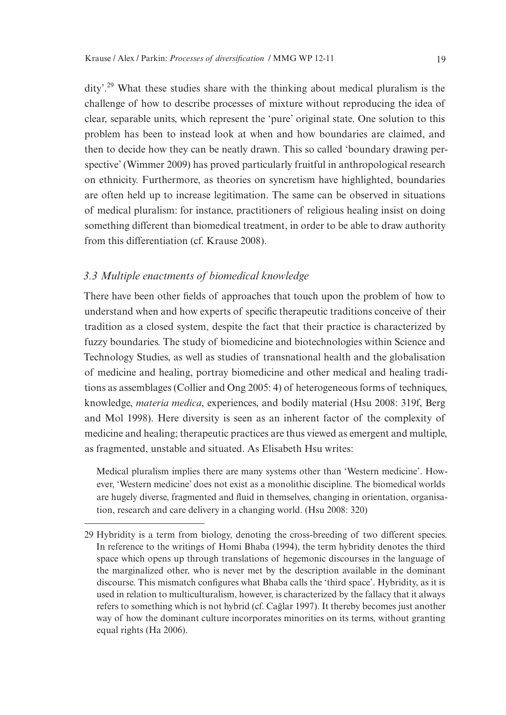dity'.29 What these studies share with the thinking about medical pluralism is the challenge of how to describe processes of mixture without reproducing the idea of clear, separable units, which represent the 'pure' original state. One solution to this problem has been to instead look at when and how boundaries are claimed, and then to decide how they can be neatly drawn. This so called 'boundary drawing perspective' (Wimmer 2009) has proved particularly fruitful in anthropological research on ethnicity. Furthermore, as theories on syncretism have highlighted, boundaries are often held up to increase legitimation. The same can be observed in situations of medical pluralism: for instance, practitioners of religious healing insist on doing something different than biomedical treatment, in order to be able to draw authority from this differentiation (cf. Krause 2008).

#### *3.3 Multiple enactments of biomedical knowledge*

There have been other fields of approaches that touch upon the problem of how to understand when and how experts of specific therapeutic traditions conceive of their tradition as a closed system, despite the fact that their practice is characterized by fuzzy boundaries. The study of biomedicine and biotechnologies within Science and Technology Studies, as well as studies of transnational health and the globalisation of medicine and healing, portray biomedicine and other medical and healing traditions as assemblages (Collier and Ong 2005: 4) of heterogeneous forms of techniques, knowledge, *materia medica*, experiences, and bodily material (Hsu 2008: 319f, Berg and Mol 1998). Here diversity is seen as an inherent factor of the complexity of medicine and healing; therapeutic practices are thus viewed as emergent and multiple, as fragmented, unstable and situated. As Elisabeth Hsu writes:

Medical pluralism implies there are many systems other than 'Western medicine'. However, 'Western medicine' does not exist as a monolithic discipline. The biomedical worlds are hugely diverse, fragmented and fluid in themselves, changing in orientation, organisation, research and care delivery in a changing world. (Hsu 2008: 320)

<sup>29</sup> Hybridity is a term from biology, denoting the cross-breeding of two different species. In reference to the writings of Homi Bhaba (1994), the term hybridity denotes the third space which opens up through translations of hegemonic discourses in the language of the marginalized other, who is never met by the description available in the dominant discourse. This mismatch configures what Bhaba calls the 'third space'. Hybridity, as it is used in relation to multiculturalism, however, is characterized by the fallacy that it always refers to something which is not hybrid (cf. Cağlar 1997). It thereby becomes just another way of how the dominant culture incorporates minorities on its terms, without granting equal rights (Ha 2006).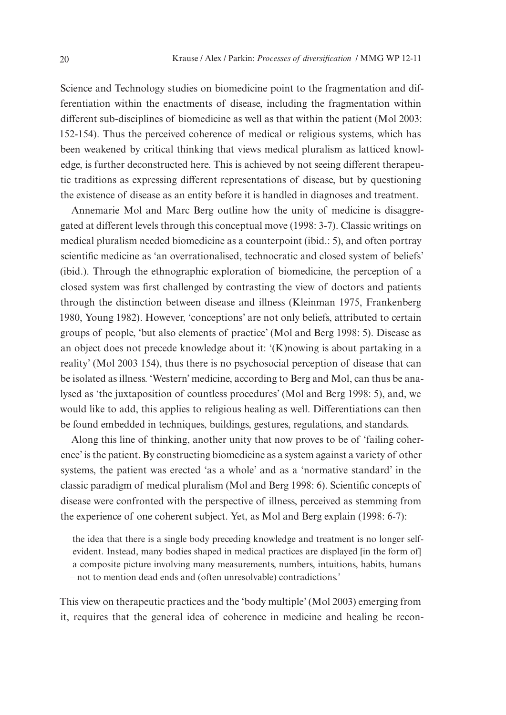Science and Technology studies on biomedicine point to the fragmentation and differentiation within the enactments of disease, including the fragmentation within different sub-disciplines of biomedicine as well as that within the patient (Mol 2003: 152-154). Thus the perceived coherence of medical or religious systems, which has been weakened by critical thinking that views medical pluralism as latticed knowledge, is further deconstructed here. This is achieved by not seeing different therapeutic traditions as expressing different representations of disease, but by questioning the existence of disease as an entity before it is handled in diagnoses and treatment.

Annemarie Mol and Marc Berg outline how the unity of medicine is disaggregated at different levels through this conceptual move (1998: 3-7). Classic writings on medical pluralism needed biomedicine as a counterpoint (ibid.: 5), and often portray scientific medicine as 'an overrationalised, technocratic and closed system of beliefs' (ibid.). Through the ethnographic exploration of biomedicine, the perception of a closed system was first challenged by contrasting the view of doctors and patients through the distinction between disease and illness (Kleinman 1975, Frankenberg 1980, Young 1982). However, 'conceptions' are not only beliefs, attributed to certain groups of people, 'but also elements of practice' (Mol and Berg 1998: 5). Disease as an object does not precede knowledge about it: '(K)nowing is about partaking in a reality' (Mol 2003 154), thus there is no psychosocial perception of disease that can be isolated as illness. 'Western' medicine, according to Berg and Mol, can thus be analysed as 'the juxtaposition of countless procedures' (Mol and Berg 1998: 5), and, we would like to add, this applies to religious healing as well. Differentiations can then be found embedded in techniques, buildings, gestures, regulations, and standards.

Along this line of thinking, another unity that now proves to be of 'failing coherence' is the patient. By constructing biomedicine as a system against a variety of other systems, the patient was erected 'as a whole' and as a 'normative standard' in the classic paradigm of medical pluralism (Mol and Berg 1998: 6). Scientific concepts of disease were confronted with the perspective of illness, perceived as stemming from the experience of one coherent subject. Yet, as Mol and Berg explain (1998: 6-7):

the idea that there is a single body preceding knowledge and treatment is no longer selfevident. Instead, many bodies shaped in medical practices are displayed [in the form of] a composite picture involving many measurements, numbers, intuitions, habits, humans – not to mention dead ends and (often unresolvable) contradictions.'

This view on therapeutic practices and the 'body multiple' (Mol 2003) emerging from it, requires that the general idea of coherence in medicine and healing be recon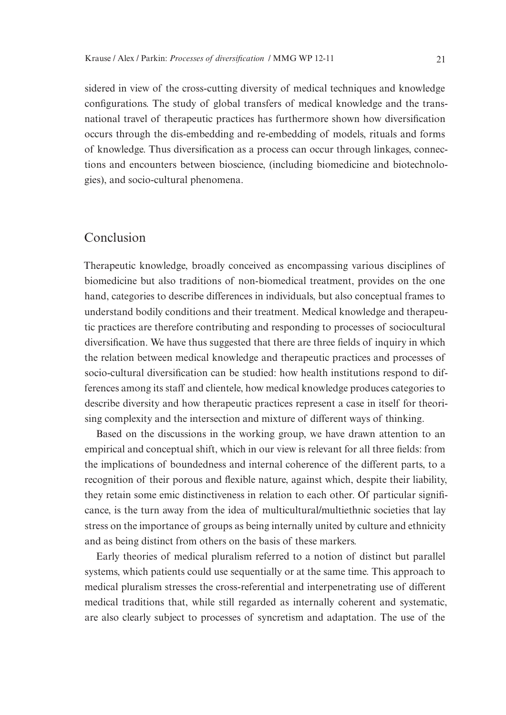sidered in view of the cross-cutting diversity of medical techniques and knowledge configurations. The study of global transfers of medical knowledge and the transnational travel of therapeutic practices has furthermore shown how diversification occurs through the dis-embedding and re-embedding of models, rituals and forms of knowledge. Thus diversification as a process can occur through linkages, connections and encounters between bioscience, (including biomedicine and biotechnologies), and socio-cultural phenomena.

## Conclusion

Therapeutic knowledge, broadly conceived as encompassing various disciplines of biomedicine but also traditions of non-biomedical treatment, provides on the one hand, categories to describe differences in individuals, but also conceptual frames to understand bodily conditions and their treatment. Medical knowledge and therapeutic practices are therefore contributing and responding to processes of sociocultural diversification. We have thus suggested that there are three fields of inquiry in which the relation between medical knowledge and therapeutic practices and processes of socio-cultural diversification can be studied: how health institutions respond to differences among its staff and clientele, how medical knowledge produces categories to describe diversity and how therapeutic practices represent a case in itself for theorising complexity and the intersection and mixture of different ways of thinking.

Based on the discussions in the working group, we have drawn attention to an empirical and conceptual shift, which in our view is relevant for all three fields: from the implications of boundedness and internal coherence of the different parts, to a recognition of their porous and flexible nature, against which, despite their liability, they retain some emic distinctiveness in relation to each other. Of particular significance, is the turn away from the idea of multicultural/multiethnic societies that lay stress on the importance of groups as being internally united by culture and ethnicity and as being distinct from others on the basis of these markers.

Early theories of medical pluralism referred to a notion of distinct but parallel systems, which patients could use sequentially or at the same time. This approach to medical pluralism stresses the cross-referential and interpenetrating use of different medical traditions that, while still regarded as internally coherent and systematic, are also clearly subject to processes of syncretism and adaptation. The use of the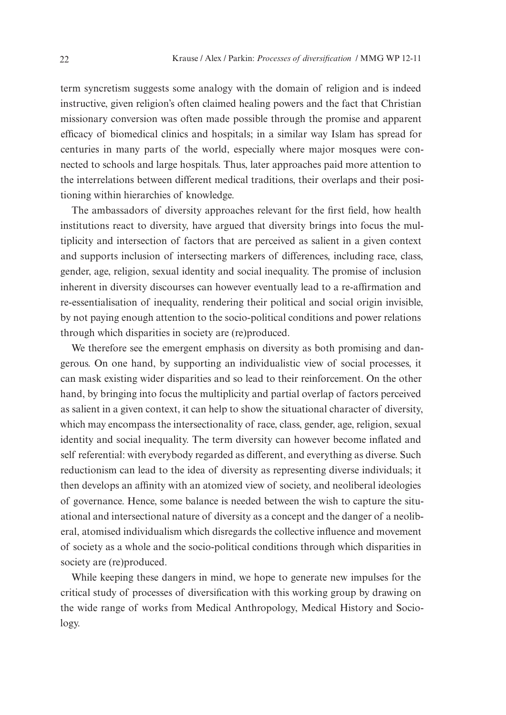term syncretism suggests some analogy with the domain of religion and is indeed instructive, given religion's often claimed healing powers and the fact that Christian missionary conversion was often made possible through the promise and apparent efficacy of biomedical clinics and hospitals; in a similar way Islam has spread for centuries in many parts of the world, especially where major mosques were connected to schools and large hospitals. Thus, later approaches paid more attention to the interrelations between different medical traditions, their overlaps and their positioning within hierarchies of knowledge.

The ambassadors of diversity approaches relevant for the first field, how health institutions react to diversity, have argued that diversity brings into focus the multiplicity and intersection of factors that are perceived as salient in a given context and supports inclusion of intersecting markers of differences, including race, class, gender, age, religion, sexual identity and social inequality. The promise of inclusion inherent in diversity discourses can however eventually lead to a re-affirmation and re-essentialisation of inequality, rendering their political and social origin invisible, by not paying enough attention to the socio-political conditions and power relations through which disparities in society are (re)produced.

We therefore see the emergent emphasis on diversity as both promising and dangerous. On one hand, by supporting an individualistic view of social processes, it can mask existing wider disparities and so lead to their reinforcement. On the other hand, by bringing into focus the multiplicity and partial overlap of factors perceived as salient in a given context, it can help to show the situational character of diversity, which may encompass the intersectionality of race, class, gender, age, religion, sexual identity and social inequality. The term diversity can however become inflated and self referential: with everybody regarded as different, and everything as diverse. Such reductionism can lead to the idea of diversity as representing diverse individuals; it then develops an affinity with an atomized view of society, and neoliberal ideologies of governance. Hence, some balance is needed between the wish to capture the situational and intersectional nature of diversity as a concept and the danger of a neoliberal, atomised individualism which disregards the collective influence and movement of society as a whole and the socio-political conditions through which disparities in society are (re)produced.

While keeping these dangers in mind, we hope to generate new impulses for the critical study of processes of diversification with this working group by drawing on the wide range of works from Medical Anthropology, Medical History and Sociology.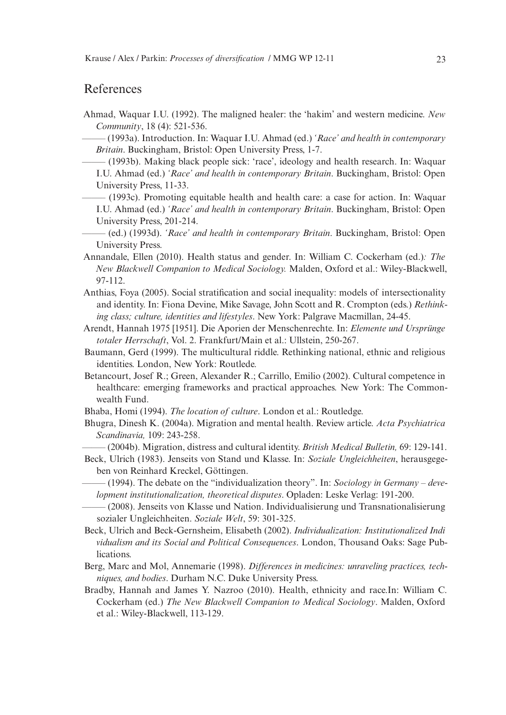#### References

- Ahmad, Waquar I.U. (1992). The maligned healer: the 'hakim' and western medicine. *New Community*, 18 (4): 521-536.
	- ——– (1993a). Introduction. In: Waquar I.U. Ahmad (ed.) *'Race' and health in contemporary Britain*. Buckingham, Bristol: Open University Press, 1-7.
	- $-$  (1993b). Making black people sick: 'race', ideology and health research. In: Waquar I.U. Ahmad (ed.) *'Race' and health in contemporary Britain*. Buckingham, Bristol: Open University Press, 11-33.
	- ——– (1993c). Promoting equitable health and health care: a case for action. In: Waquar I.U. Ahmad (ed.) *'Race' and health in contemporary Britain*. Buckingham, Bristol: Open University Press, 201-214.
	- ——– (ed.) (1993d). *'Race' and health in contemporary Britain*. Buckingham, Bristol: Open University Press.
- Annandale, Ellen (2010). Health status and gender. In: William C. Cockerham (ed.)*: The New Blackwell Companion to Medical Sociology.* Malden, Oxford et al.: Wiley-Blackwell, 97-112.
- Anthias, Foya (2005). Social stratification and social inequality: models of intersectionality and identity. In: Fiona Devine, Mike Savage, John Scott and R. Crompton (eds.) *Rethinking class; culture, identities and lifestyles*. New York: Palgrave Macmillan, 24-45.
- Arendt, Hannah 1975 [1951]. Die Aporien der Menschenrechte. In: *Elemente und Ursprünge totaler Herrschaft*, Vol. 2. Frankfurt/Main et al.: Ullstein, 250-267.
- Baumann, Gerd (1999). The multicultural riddle. Rethinking national, ethnic and religious identities. London, New York: Routlede.
- Betancourt, Josef R.; Green, Alexander R.; Carrillo, Emilio (2002). Cultural competence in healthcare: emerging frameworks and practical approaches. New York: The Commonwealth Fund.
- Bhaba, Homi (1994). *The location of culture*. London et al.: Routledge.
- Bhugra, Dinesh K. (2004a). Migration and mental health. Review article. *Acta Psychiatrica Scandinavia,* 109: 243-258.
- ——– (2004b). Migration, distress and cultural identity. *British Medical Bulletin,* 69: 129-141.
- Beck, Ulrich (1983). Jenseits von Stand und Klasse. In: *Soziale Ungleichheiten*, herausgegeben von Reinhard Kreckel, Göttingen.
	- ——– (1994). The debate on the "individualization theory". In: *Sociology in Germany development institutionalization, theoretical disputes*. Opladen: Leske Verlag: 191-200.
	- ——– (2008). Jenseits von Klasse und Nation. Individualisierung und Transnationalisierung sozialer Ungleichheiten. *Soziale Welt*, 59: 301-325.
- Beck, Ulrich and Beck-Gernsheim, Elisabeth (2002). *Individualization: Institutionalized Indi vidualism and its Social and Political Consequences*. London, Thousand Oaks: Sage Publications.
- Berg, Marc and Mol, Annemarie (1998). *Differences in medicines: unraveling practices, techniques, and bodies*. Durham N.C. Duke University Press.
- Bradby, Hannah and James Y. Nazroo (2010). Health, ethnicity and race.In: William C. Cockerham (ed.) *The New Blackwell Companion to Medical Sociology*. Malden, Oxford et al.: Wiley-Blackwell, 113-129.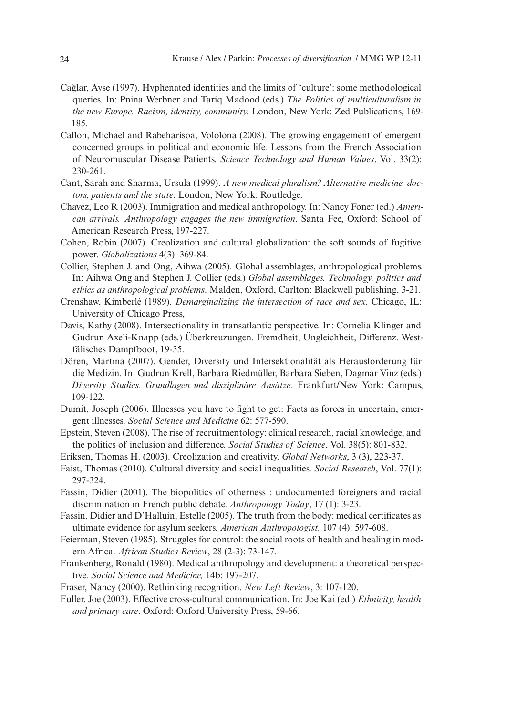- Cağlar, Ayse (1997). Hyphenated identities and the limits of 'culture': some methodological queries. In: Pnina Werbner and Tariq Madood (eds.) *The Politics of multiculturalism in the new Europe. Racism, identity, community.* London, New York: Zed Publications, 169- 185.
- Callon, Michael and Rabeharisoa, Vololona (2008). The growing engagement of emergent concerned groups in political and economic life. Lessons from the French Association of Neuromuscular Disease Patients. *Science Technology and Human Values*, Vol. 33(2): 230-261.
- Cant, Sarah and Sharma, Ursula (1999). *A new medical pluralism? Alternative medicine, doctors, patients and the state*. London, New York: Routledge.
- Chavez, Leo R (2003). Immigration and medical anthropology. In: Nancy Foner (ed.) *American arrivals. Anthropology engages the new immigration*. Santa Fee, Oxford: School of American Research Press, 197-227.
- Cohen, Robin (2007). Creolization and cultural globalization: the soft sounds of fugitive power. *Globalizations* 4(3): 369-84.
- Collier, Stephen J. and Ong, Aihwa (2005). Global assemblages, anthropological problems. In: Aihwa Ong and Stephen J. Collier (eds.) *Global assemblages. Technology, politics and ethics as anthropological problems*. Malden, Oxford, Carlton: Blackwell publishing, 3-21.
- Crenshaw, Kimberlé (1989). *Demarginalizing the intersection of race and sex.* Chicago, IL: University of Chicago Press,
- Davis, Kathy (2008). Intersectionality in transatlantic perspective. In: Cornelia Klinger and Gudrun Axeli-Knapp (eds.) Überkreuzungen. Fremdheit, Ungleichheit, Differenz. Westfälisches Dampfboot, 19-35.
- Dören, Martina (2007). Gender, Diversity und Intersektionalität als Herausforderung für die Medizin. In: Gudrun Krell, Barbara Riedmüller, Barbara Sieben, Dagmar Vinz (eds.) *Diversity Studies. Grundlagen und disziplinäre Ansätze*. Frankfurt/New York: Campus, 109-122.
- Dumit, Joseph (2006). Illnesses you have to fight to get: Facts as forces in uncertain, emergent illnesses. *Social Science and Medicine* 62: 577-590.
- Epstein, Steven (2008). The rise of recruitmentology: clinical research, racial knowledge, and the politics of inclusion and difference. *Social Studies of Science*, Vol. 38(5): 801-832.
- Eriksen, Thomas H. (2003). Creolization and creativity. *Global Networks*, 3 (3), 223-37.
- Faist, Thomas (2010). Cultural diversity and social inequalities. *Social Research*, Vol. 77(1): 297-324.
- Fassin, Didier (2001). The biopolitics of otherness : undocumented foreigners and racial discrimination in French public debate. *Anthropology Today*, 17 (1): 3-23.
- Fassin, Didier and D'Halluin, Estelle (2005). The truth from the body: medical certificates as ultimate evidence for asylum seekers. *American Anthropologist,* 107 (4): 597-608.
- Feierman, Steven (1985). Struggles for control: the social roots of health and healing in modern Africa. *African Studies Review*, 28 (2-3): 73-147.
- Frankenberg, Ronald (1980). Medical anthropology and development: a theoretical perspective. *Social Science and Medicine,* 14b: 197-207.
- Fraser, Nancy (2000). Rethinking recognition. *New Left Review*, 3: 107-120.
- Fuller, Joe (2003). Effective cross-cultural communication. In: Joe Kai (ed.) *Ethnicity, health and primary care*. Oxford: Oxford University Press, 59-66.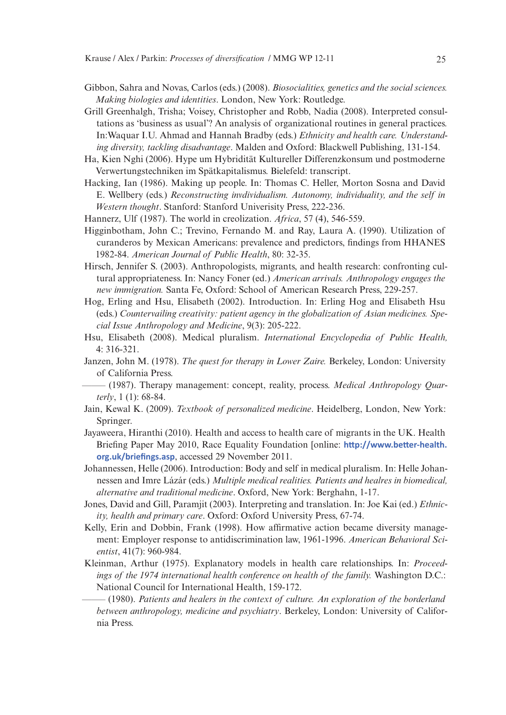- Gibbon, Sahra and Novas, Carlos (eds.) (2008). *Biosocialities, genetics and the social sciences. Making biologies and identities*. London, New York: Routledge.
- Grill Greenhalgh, Trisha; Voisey, Christopher and Robb, Nadia (2008). Interpreted consultations as 'business as usual'? An analysis of organizational routines in general practices. In:Waquar I.U. Ahmad and Hannah Bradby (eds.) *Ethnicity and health care. Understanding diversity, tackling disadvantage*. Malden and Oxford: Blackwell Publishing, 131-154.
- Ha, Kien Nghi (2006). Hype um Hybridität Kultureller Differenzkonsum und postmoderne Verwertungstechniken im Spätkapitalismus. Bielefeld: transcript.
- Hacking, Ian (1986). Making up people. In: Thomas C. Heller, Morton Sosna and David E. Wellbery (eds.) *Reconstructing invdividualism. Autonomy, individuality, and the self in Western thought*. Stanford: Stanford Univerisity Press, 222-236.
- Hannerz, Ulf (1987). The world in creolization. *Africa*, 57 (4), 546-559.
- Higginbotham, John C.; Trevino, Fernando M. and Ray, Laura A. (1990). Utilization of curanderos by Mexican Americans: prevalence and predictors, findings from HHANES 1982-84. *American Journal of Public Health*, 80: 32-35.
- Hirsch, Jennifer S. (2003). Anthropologists, migrants, and health research: confronting cultural appropriateness. In: Nancy Foner (ed.) *American arrivals. Anthropology engages the new immigration.* Santa Fe, Oxford: School of American Research Press, 229-257.
- Hog, Erling and Hsu, Elisabeth (2002). Introduction. In: Erling Hog and Elisabeth Hsu (eds.) *Countervailing creativity: patient agency in the globalization of Asian medicines. Special Issue Anthropology and Medicine*, 9(3): 205-222.
- Hsu, Elisabeth (2008). Medical pluralism. *International Encyclopedia of Public Health,* 4: 316-321.
- Janzen, John M. (1978). *The quest for therapy in Lower Zaire.* Berkeley, London: University of California Press.
- ——– (1987). Therapy management: concept, reality, process. *Medical Anthropology Quarterly*, 1 (1): 68-84.
- Jain, Kewal K. (2009). *Textbook of personalized medicine*. Heidelberg, London, New York: Springer.
- Jayaweera, Hiranthi (2010). Health and access to health care of migrants in the UK. Health Briefing Paper May 2010, Race Equality Foundation [online: **http://www.better-health. org.uk/briefings.asp**, accessed 29 November 2011.
- Johannessen, Helle (2006). Introduction: Body and self in medical pluralism. In: Helle Johannessen and Imre Lázár (eds.) *Multiple medical realities. Patients and healres in biomedical, alternative and traditional medicine*. Oxford, New York: Berghahn, 1-17.
- Jones, David and Gill, Paramjit (2003). Interpreting and translation. In: Joe Kai (ed.) *Ethnicity, health and primary care*. Oxford: Oxford University Press, 67-74.
- Kelly, Erin and Dobbin, Frank (1998). How affirmative action became diversity management: Employer response to antidiscrimination law, 1961-1996. *American Behavioral Scientist*, 41(7): 960-984.
- Kleinman, Arthur (1975). Explanatory models in health care relationships. In: *Proceedings of the 1974 international health conference on health of the family.* Washington D.C.: National Council for International Health, 159-172.
- ——– (1980). *Patients and healers in the context of culture. An exploration of the borderland between anthropology, medicine and psychiatry*. Berkeley, London: University of California Press.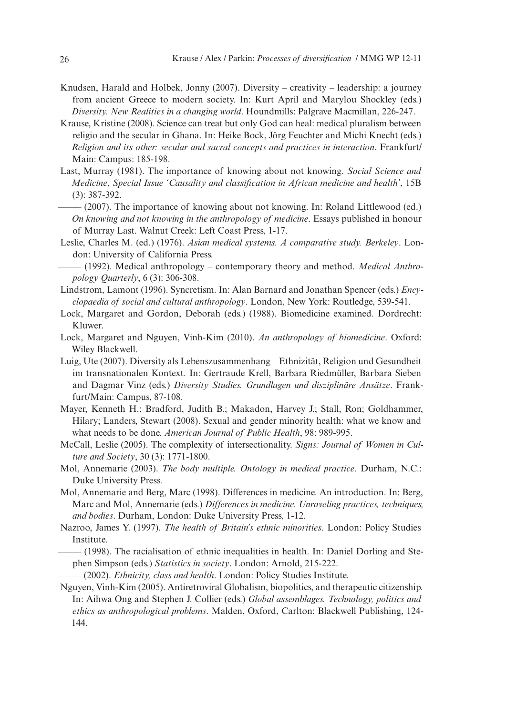- Knudsen, Harald and Holbek, Jonny (2007). Diversity creativity leadership: a journey from ancient Greece to modern society. In: Kurt April and Marylou Shockley (eds.) *Diversity. New Realities in a changing world*. Houndmills: Palgrave Macmillan, 226-247.
- Krause, Kristine (2008). Science can treat but only God can heal: medical pluralism between religio and the secular in Ghana. In: Heike Bock, Jörg Feuchter and Michi Knecht (eds.) *Religion and its other: secular and sacral concepts and practices in interaction*. Frankfurt/ Main: Campus: 185-198.
- Last, Murray (1981). The importance of knowing about not knowing. *Social Science and Medicine*, *Special Issue 'Causality and classification in African medicine and health'*, 15B (3): 387-392.
	- (2007). The importance of knowing about not knowing. In: Roland Littlewood (ed.) *On knowing and not knowing in the anthropology of medicine*. Essays published in honour of Murray Last. Walnut Creek: Left Coast Press, 1-17.
- Leslie, Charles M. (ed.) (1976). *Asian medical systems. A comparative study. Berkeley*. London: University of California Press.
- $-$  (1992). Medical anthropology contemporary theory and method. *Medical Anthropology Quarterly*, 6 (3): 306-308.
- Lindstrom, Lamont (1996). Syncretism. In: Alan Barnard and Jonathan Spencer (eds.) *Encyclopaedia of social and cultural anthropology*. London, New York: Routledge, 539-541.
- Lock, Margaret and Gordon, Deborah (eds.) (1988). Biomedicine examined. Dordrecht: Kluwer.
- Lock, Margaret and Nguyen, Vinh-Kim (2010). *An anthropology of biomedicine*. Oxford: Wiley Blackwell.
- Luig, Ute (2007). Diversity als Lebenszusammenhang Ethnizität, Religion und Gesundheit im transnationalen Kontext. In: Gertraude Krell, Barbara Riedmüller, Barbara Sieben and Dagmar Vinz (eds.) *Diversity Studies. Grundlagen und disziplinäre Ansätze*. Frankfurt/Main: Campus, 87-108.
- Mayer, Kenneth H.; Bradford, Judith B.; Makadon, Harvey J.; Stall, Ron; Goldhammer, Hilary; Landers, Stewart (2008). Sexual and gender minority health: what we know and what needs to be done. *American Journal of Public Health*, 98: 989-995.
- McCall, Leslie (2005). The complexity of intersectionality. *Signs: Journal of Women in Culture and Society*, 30 (3): 1771-1800.
- Mol, Annemarie (2003). *The body multiple. Ontology in medical practice*. Durham, N.C.: Duke University Press.
- Mol, Annemarie and Berg, Marc (1998). Differences in medicine. An introduction. In: Berg, Marc and Mol, Annemarie (eds.) *Differences in medicine. Unraveling practices, techniques, and bodies*. Durham, London: Duke University Press, 1-12.
- Nazroo, James Y. (1997). *The health of Britain's ethnic minorities*. London: Policy Studies Institute.
- ——– (1998). The racialisation of ethnic inequalities in health. In: Daniel Dorling and Stephen Simpson (eds.) *Statistics in society*. London: Arnold, 215-222.
- ——– (2002). *Ethnicity, class and health*. London: Policy Studies Institute.
- Nguyen, Vinh-Kim (2005). Antiretroviral Globalism, biopolitics, and therapeutic citizenship. In: Aihwa Ong and Stephen J. Collier (eds.) *Global assemblages. Technology, politics and ethics as anthropological problems*. Malden, Oxford, Carlton: Blackwell Publishing, 124- 144.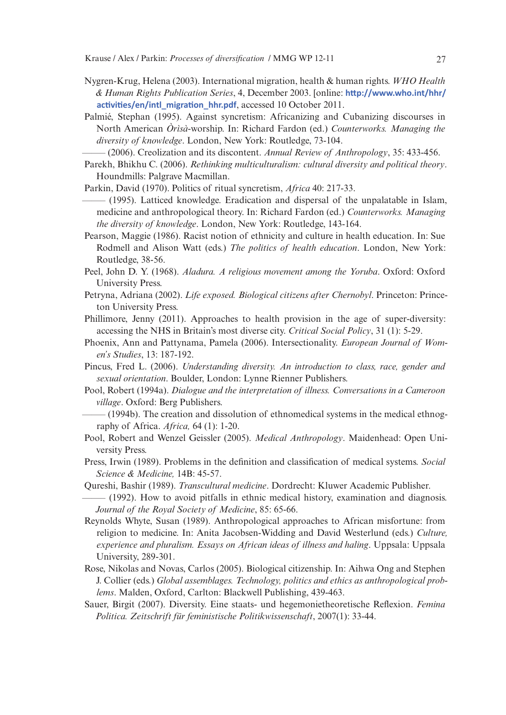- Nygren-Krug, Helena (2003). International migration, health & human rights. *WHO Health & Human Rights Publication Series*, 4, December 2003. [online: **http://www.who.int/hhr/ activities/en/intl\_migration\_hhr.pdf**, accessed 10 October 2011.
- Palmié, Stephan (1995). Against syncretism: Africanizing and Cubanizing discourses in North American *Òrìsà*-worship. In: Richard Fardon (ed.) *Counterworks. Managing the diversity of knowledge*. London, New York: Routledge, 73-104.

——– (2006). Creolization and its discontent. *Annual Review of Anthropology*, 35: 433-456.

- Parekh, Bhikhu C. (2006). *Rethinking multiculturalism: cultural diversity and political theory*. Houndmills: Palgrave Macmillan.
- Parkin, David (1970). Politics of ritual syncretism, *Africa* 40: 217-33.
- ——– (1995). Latticed knowledge. Eradication and dispersal of the unpalatable in Islam, medicine and anthropological theory. In: Richard Fardon (ed.) *Counterworks. Managing the diversity of knowledge*. London, New York: Routledge, 143-164.
- Pearson, Maggie (1986). Racist notion of ethnicity and culture in health education. In: Sue Rodmell and Alison Watt (eds.) *The politics of health education*. London, New York: Routledge, 38-56.
- Peel, John D. Y. (1968). *Aladura. A religious movement among the Yoruba*. Oxford: Oxford University Press.
- Petryna, Adriana (2002). *Life exposed. Biological citizens after Chernobyl*. Princeton: Princeton University Press.
- Phillimore, Jenny (2011). Approaches to health provision in the age of super-diversity: accessing the NHS in Britain's most diverse city. *Critical Social Policy*, 31 (1): 5-29.
- Phoenix, Ann and Pattynama, Pamela (2006). Intersectionality. *European Journal of Women's Studies*, 13: 187-192.
- Pincus, Fred L. (2006). *Understanding diversity. An introduction to class, race, gender and sexual orientation*. Boulder, London: Lynne Rienner Publishers.
- Pool, Robert (1994a). *Dialogue and the interpretation of illness. Conversations in a Cameroon village*. Oxford: Berg Publishers.
- $-(1994b)$ . The creation and dissolution of ethnomedical systems in the medical ethnography of Africa. *Africa,* 64 (1): 1-20.
- Pool, Robert and Wenzel Geissler (2005). *Medical Anthropology*. Maidenhead: Open University Press.
- Press, Irwin (1989). Problems in the definition and classification of medical systems. *Social Science & Medicine,* 14B: 45-57.
- Qureshi, Bashir (1989). *Transcultural medicine*. Dordrecht: Kluwer Academic Publisher.
- ——– (1992). How to avoid pitfalls in ethnic medical history, examination and diagnosis. *Journal of the Royal Society of Medicine*, 85: 65-66.
- Reynolds Whyte, Susan (1989). Anthropological approaches to African misfortune: from religion to medicine. In: Anita Jacobsen-Widding and David Westerlund (eds.) *Culture, experience and pluralism. Essays on African ideas of illness and haling*. Uppsala: Uppsala University, 289-301.
- Rose, Nikolas and Novas, Carlos (2005). Biological citizenship. In: Aihwa Ong and Stephen J. Collier (eds.) *Global assemblages. Technology, politics and ethics as anthropological problems*. Malden, Oxford, Carlton: Blackwell Publishing, 439-463.
- Sauer, Birgit (2007). Diversity. Eine staats- und hegemonietheoretische Reflexion. *Femina Politica. Zeitschrift für feministische Politikwissenschaft*, 2007(1): 33-44.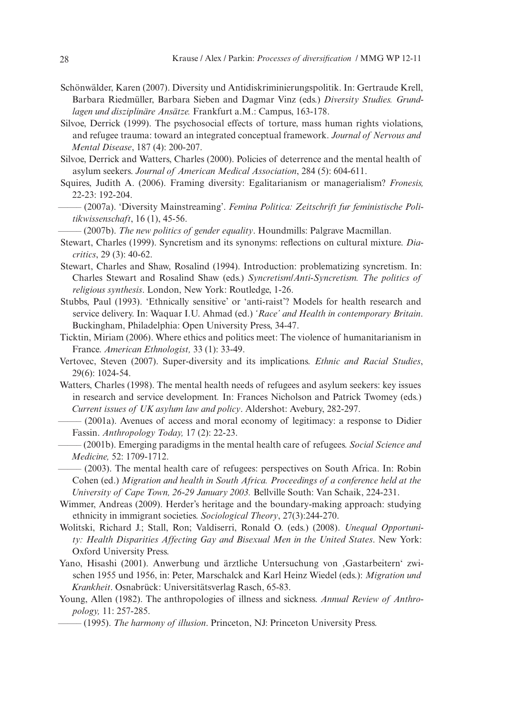- Schönwälder, Karen (2007). Diversity und Antidiskriminierungspolitik. In: Gertraude Krell, Barbara Riedmüller, Barbara Sieben and Dagmar Vinz (eds.) *Diversity Studies. Grundlagen und disziplinäre Ansätze.* Frankfurt a.M.: Campus, 163-178.
- Silvoe, Derrick (1999). The psychosocial effects of torture, mass human rights violations, and refugee trauma: toward an integrated conceptual framework. *Journal of Nervous and Mental Disease*, 187 (4): 200-207.
- Silvoe, Derrick and Watters, Charles (2000). Policies of deterrence and the mental health of asylum seekers. *Journal of American Medical Association*, 284 (5): 604-611.
- Squires, Judith A. (2006). Framing diversity: Egalitarianism or managerialism? *Fronesis,* 22-23: 192-204.

- ——– (2007b). *The new politics of gender equality*. Houndmills: Palgrave Macmillan.
- Stewart, Charles (1999). Syncretism and its synonyms: reflections on cultural mixture. *Diacritics*, 29 (3): 40-62.
- Stewart, Charles and Shaw, Rosalind (1994). Introduction: problematizing syncretism. In: Charles Stewart and Rosalind Shaw (eds.) *Syncretism/Anti-Syncretism. The politics of religious synthesis*. London, New York: Routledge, 1-26.
- Stubbs, Paul (1993). 'Ethnically sensitive' or 'anti-raist'? Models for health research and service delivery. In: Waquar I.U. Ahmad (ed.) *'Race' and Health in contemporary Britain*. Buckingham, Philadelphia: Open University Press, 34-47.
- Ticktin, Miriam (2006). Where ethics and politics meet: The violence of humanitarianism in France. *American Ethnologist,* 33 (1): 33-49.
- Vertovec, Steven (2007). Super-diversity and its implications. *Ethnic and Racial Studies*, 29(6): 1024-54.
- Watters, Charles (1998). The mental health needs of refugees and asylum seekers: key issues in research and service development*.* In: Frances Nicholson and Patrick Twomey (eds.) *Current issues of UK asylum law and policy*. Aldershot: Avebury, 282-297.
	- ——– (2001a). Avenues of access and moral economy of legitimacy: a response to Didier Fassin. *Anthropology Today,* 17 (2): 22-23.
	- ——– (2001b). Emerging paradigms in the mental health care of refugees. *Social Science and Medicine,* 52: 1709-1712.
	- $-$  (2003). The mental health care of refugees: perspectives on South Africa. In: Robin Cohen (ed.) *Migration and health in South Africa. Proceedings of a conference held at the University of Cape Town, 26-29 January 2003.* Bellville South: Van Schaik, 224-231.
- Wimmer, Andreas (2009). Herder's heritage and the boundary-making approach: studying ethnicity in immigrant societies. *Sociological Theory*, 27(3):244-270.
- Wolitski, Richard J.; Stall, Ron; Valdiserri, Ronald O. (eds.) (2008). *Unequal Opportunity: Health Disparities Affecting Gay and Bisexual Men in the United States*. New York: Oxford University Press.
- Yano, Hisashi (2001). Anwerbung und ärztliche Untersuchung von 'Gastarbeitern' zwischen 1955 und 1956, in: Peter, Marschalck and Karl Heinz Wiedel (eds.): *Migration und Krankheit*. Osnabrück: Universitätsverlag Rasch, 65-83.
- Young, Allen (1982). The anthropologies of illness and sickness. *Annual Review of Anthropology,* 11: 257-285.
	- ——– (1995). *The harmony of illusion*. Princeton, NJ: Princeton University Press.

<sup>——– (2007</sup>a). 'Diversity Mainstreaming'. *Femina Politica: Zeitschrift fur feministische Politikwissenschaft*, 16 (1), 45-56.